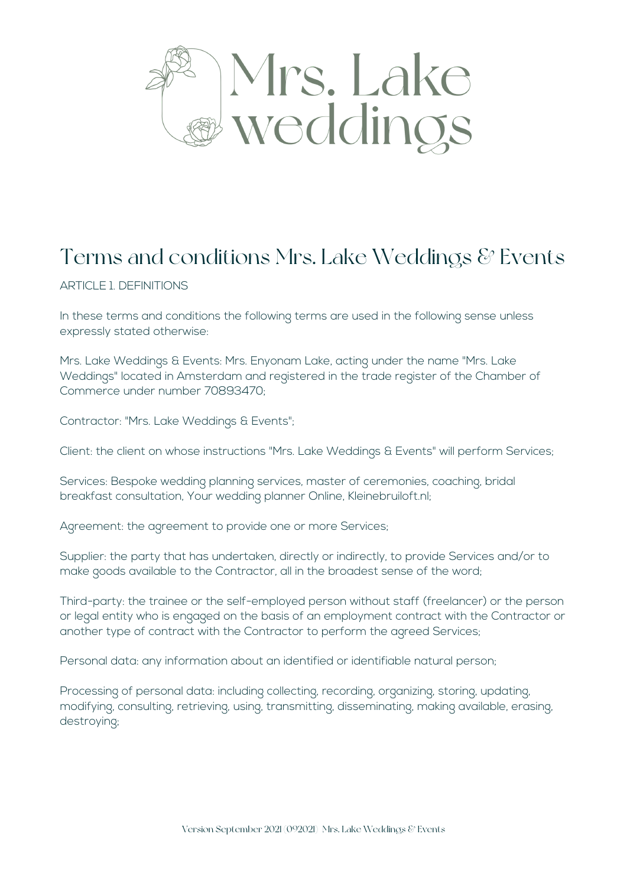

# Terms and conditions Mrs. Lake Weddings  $\mathcal C$  Events

ARTICLE 1. DEFINITIONS

In these terms and conditions the following terms are used in the following sense unless expressly stated otherwise:

Mrs. Lake Weddings & Events: Mrs. Enyonam Lake, acting under the name "Mrs. Lake Weddings" located in Amsterdam and registered in the trade register of the Chamber of Commerce under number 70893470;

Contractor: "Mrs. Lake Weddings & Events";

Client: the client on whose instructions "Mrs. Lake Weddings & Events" will perform Services;

Services: Bespoke wedding planning services, master of ceremonies, coaching, bridal breakfast consultation, Your wedding planner Online, Kleinebruiloft.nl;

Agreement: the agreement to provide one or more Services;

Supplier: the party that has undertaken, directly or indirectly, to provide Services and/or to make goods available to the Contractor, all in the broadest sense of the word;

Third-party: the trainee or the self-employed person without staff (freelancer) or the person or legal entity who is engaged on the basis of an employment contract with the Contractor or another type of contract with the Contractor to perform the agreed Services;

Personal data: any information about an identified or identifiable natural person;

Processing of personal data: including collecting, recording, organizing, storing, updating, modifying, consulting, retrieving, using, transmitting, disseminating, making available, erasing, destroying;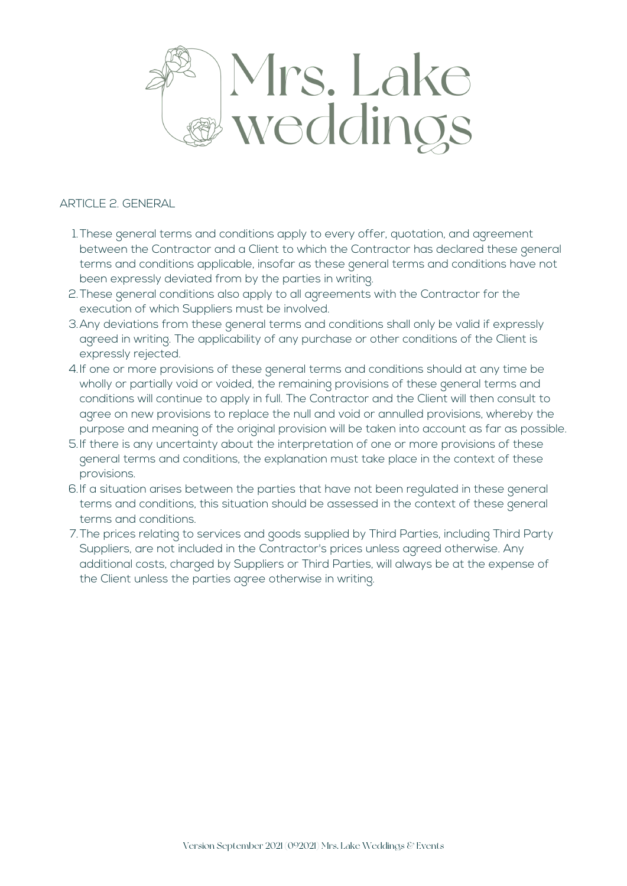

#### ARTICLE 2. GENERAL

- These general terms and conditions apply to every offer, quotation, and agreement 1. between the Contractor and a Client to which the Contractor has declared these general terms and conditions applicable, insofar as these general terms and conditions have not been expressly deviated from by the parties in writing.
- 2. These general conditions also apply to all agreements with the Contractor for the execution of which Suppliers must be involved.
- Any deviations from these general terms and conditions shall only be valid if expressly 3. agreed in writing. The applicability of any purchase or other conditions of the Client is expressly rejected.
- 4.If one or more provisions of these general terms and conditions should at any time be wholly or partially void or voided, the remaining provisions of these general terms and conditions will continue to apply in full. The Contractor and the Client will then consult to agree on new provisions to replace the null and void or annulled provisions, whereby the purpose and meaning of the original provision will be taken into account as far as possible.
- If there is any uncertainty about the interpretation of one or more provisions of these 5. general terms and conditions, the explanation must take place in the context of these provisions.
- 6.If a situation arises between the parties that have not been regulated in these general terms and conditions, this situation should be assessed in the context of these general terms and conditions.
- The prices relating to services and goods supplied by Third Parties, including Third Party 7. Suppliers, are not included in the Contractor's prices unless agreed otherwise. Any additional costs, charged by Suppliers or Third Parties, will always be at the expense of the Client unless the parties agree otherwise in writing.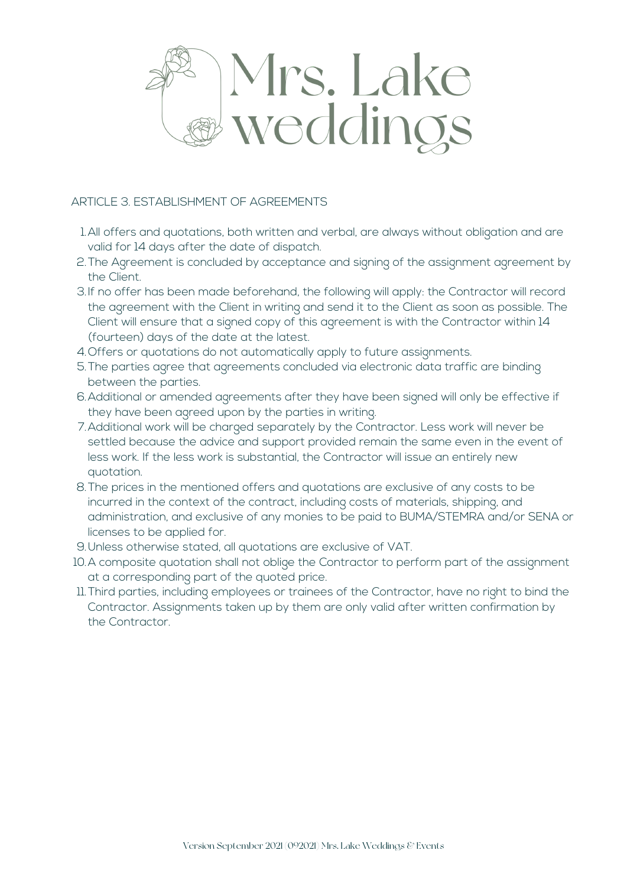

## ARTICLE 3. ESTABLISHMENT OF AGREEMENTS

- All offers and quotations, both written and verbal, are always without obligation and are 1. valid for 14 days after the date of dispatch.
- 2.The Agreement is concluded by acceptance and signing of the assignment agreement by the Client.
- 3.If no offer has been made beforehand, the following will apply: the Contractor will record the agreement with the Client in writing and send it to the Client as soon as possible. The Client will ensure that a signed copy of this agreement is with the Contractor within 14 (fourteen) days of the date at the latest.
- Offers or quotations do not automatically apply to future assignments. 4.
- The parties agree that agreements concluded via electronic data traffic are binding 5. between the parties.
- Additional or amended agreements after they have been signed will only be effective if 6. they have been agreed upon by the parties in writing.
- Additional work will be charged separately by the Contractor. Less work will never be 7. settled because the advice and support provided remain the same even in the event of less work. If the less work is substantial, the Contractor will issue an entirely new quotation.
- The prices in the mentioned offers and quotations are exclusive of any costs to be 8. incurred in the context of the contract, including costs of materials, shipping, and administration, and exclusive of any monies to be paid to BUMA/STEMRA and/or SENA or licenses to be applied for.
- Unless otherwise stated, all quotations are exclusive of VAT. 9.
- 10.A composite quotation shall not oblige the Contractor to perform part of the assignment at a corresponding part of the quoted price.
- 11. Third parties, including employees or trainees of the Contractor, have no right to bind the Contractor. Assignments taken up by them are only valid after written confirmation by the Contractor.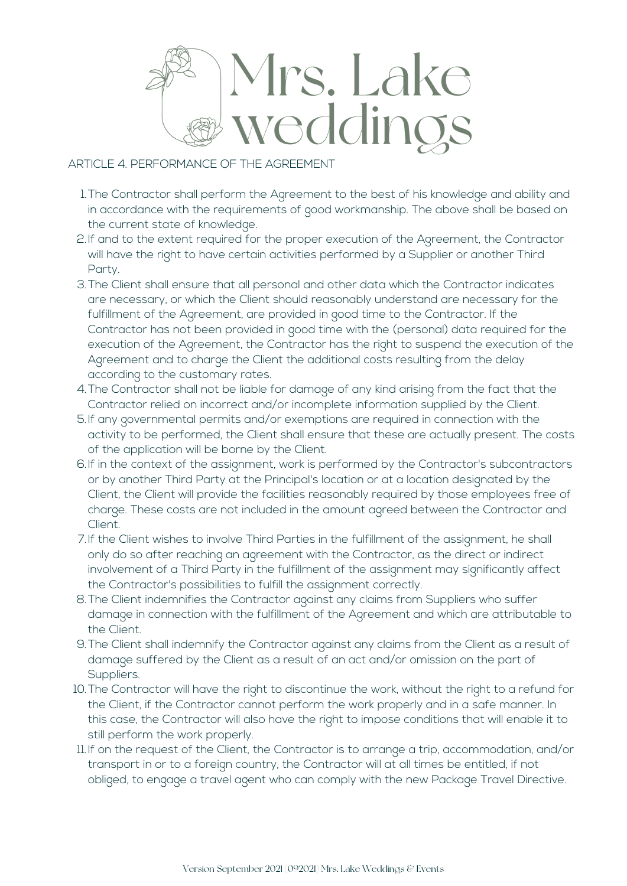

# ARTICLE 4. PERFORMANCE OF THE AGREEMENT

- The Contractor shall perform the Agreement to the best of his knowledge and ability and 1. in accordance with the requirements of good workmanship. The above shall be based on the current state of knowledge.
- If and to the extent required for the proper execution of the Agreement, the Contractor 2. will have the right to have certain activities performed by a Supplier or another Third Party.
- 3.The Client shall ensure that all personal and other data which the Contractor indicates are necessary, or which the Client should reasonably understand are necessary for the fulfillment of the Agreement, are provided in good time to the Contractor. If the Contractor has not been provided in good time with the (personal) data required for the execution of the Agreement, the Contractor has the right to suspend the execution of the Agreement and to charge the Client the additional costs resulting from the delay according to the customary rates.
- The Contractor shall not be liable for damage of any kind arising from the fact that the 4. Contractor relied on incorrect and/or incomplete information supplied by the Client.
- If any governmental permits and/or exemptions are required in connection with the 5. activity to be performed, the Client shall ensure that these are actually present. The costs of the application will be borne by the Client.
- 6.If in the context of the assignment, work is performed by the Contractor's subcontractors or by another Third Party at the Principal's location or at a location designated by the Client, the Client will provide the facilities reasonably required by those employees free of charge. These costs are not included in the amount agreed between the Contractor and Client.
- 7.If the Client wishes to involve Third Parties in the fulfillment of the assignment, he shall only do so after reaching an agreement with the Contractor, as the direct or indirect involvement of a Third Party in the fulfillment of the assignment may significantly affect the Contractor's possibilities to fulfill the assignment correctly.
- The Client indemnifies the Contractor against any claims from Suppliers who suffer 8. damage in connection with the fulfillment of the Agreement and which are attributable to the Client.
- The Client shall indemnify the Contractor against any claims from the Client as a result of 9. damage suffered by the Client as a result of an act and/or omission on the part of Suppliers.
- 10. The Contractor will have the right to discontinue the work, without the right to a refund for the Client, if the Contractor cannot perform the work properly and in a safe manner. In this case, the Contractor will also have the right to impose conditions that will enable it to still perform the work properly.
- If on the request of the Client, the Contractor is to arrange a trip, accommodation, and/or 11. transport in or to a foreign country, the Contractor will at all times be entitled, if not obliged, to engage a travel agent who can comply with the new Package Travel Directive.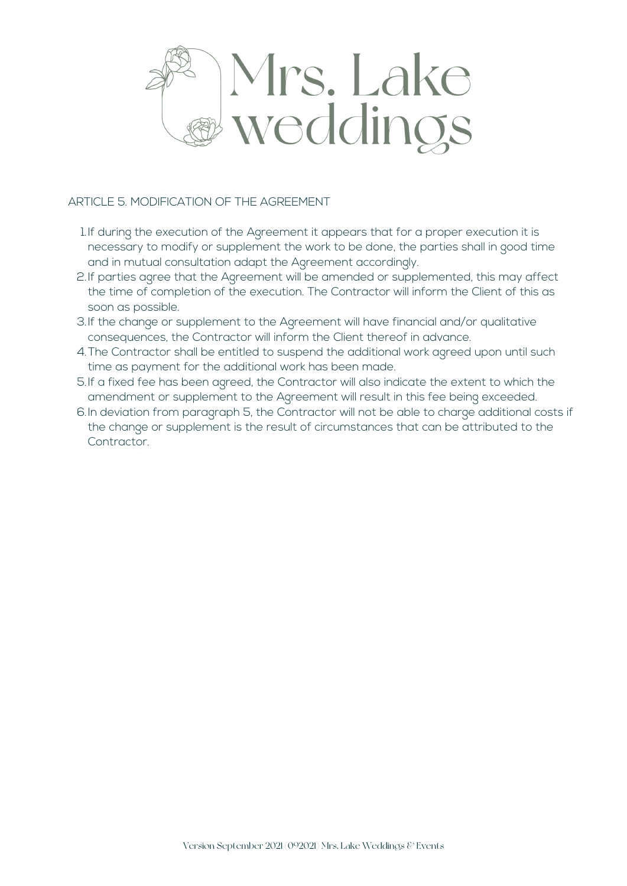

## ARTICLE 5. MODIFICATION OF THE AGREEMENT

- 1. If during the execution of the Agreement it appears that for a proper execution it is necessary to modify or supplement the work to be done, the parties shall in good time and in mutual consultation adapt the Agreement accordingly.
- If parties agree that the Agreement will be amended or supplemented, this may affect 2. the time of completion of the execution. The Contractor will inform the Client of this as soon as possible.
- If the change or supplement to the Agreement will have financial and/or qualitative 3. consequences, the Contractor will inform the Client thereof in advance.
- The Contractor shall be entitled to suspend the additional work agreed upon until such 4. time as payment for the additional work has been made.
- If a fixed fee has been agreed, the Contractor will also indicate the extent to which the 5. amendment or supplement to the Agreement will result in this fee being exceeded.
- 6.In deviation from paragraph 5, the Contractor will not be able to charge additional costs if the change or supplement is the result of circumstances that can be attributed to the Contractor.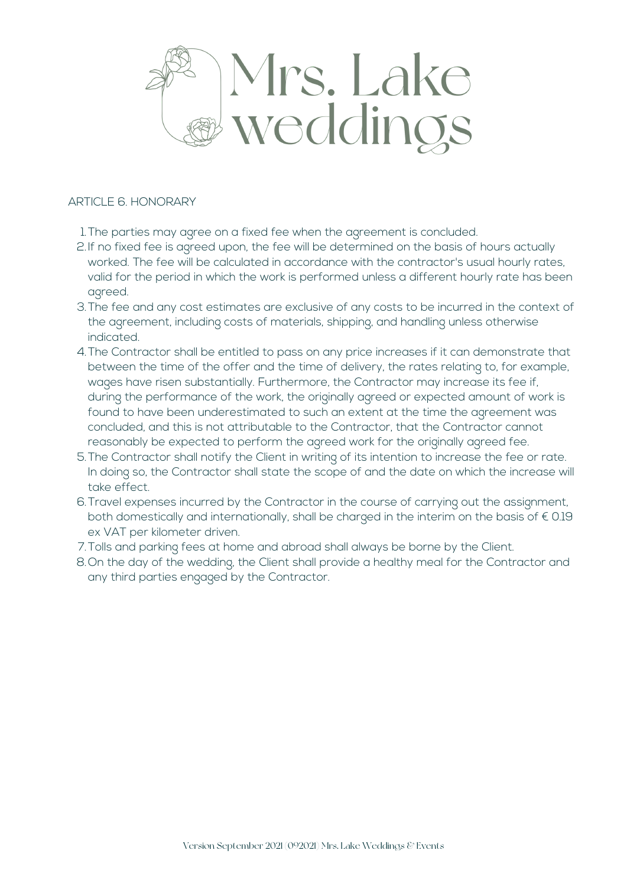

#### ARTICLE 6. HONORARY

- The parties may agree on a fixed fee when the agreement is concluded. 1.
- 2.If no fixed fee is agreed upon, the fee will be determined on the basis of hours actually worked. The fee will be calculated in accordance with the contractor's usual hourly rates, valid for the period in which the work is performed unless a different hourly rate has been agreed.
- 3.The fee and any cost estimates are exclusive of any costs to be incurred in the context of the agreement, including costs of materials, shipping, and handling unless otherwise indicated.
- The Contractor shall be entitled to pass on any price increases if it can demonstrate that 4. between the time of the offer and the time of delivery, the rates relating to, for example, wages have risen substantially. Furthermore, the Contractor may increase its fee if, during the performance of the work, the originally agreed or expected amount of work is found to have been underestimated to such an extent at the time the agreement was concluded, and this is not attributable to the Contractor, that the Contractor cannot reasonably be expected to perform the agreed work for the originally agreed fee.
- The Contractor shall notify the Client in writing of its intention to increase the fee or rate. 5. In doing so, the Contractor shall state the scope of and the date on which the increase will take effect.
- 6.Travel expenses incurred by the Contractor in the course of carrying out the assignment, both domestically and internationally, shall be charged in the interim on the basis of  $\epsilon$  0.19 ex VAT per kilometer driven.
- 7.Tolls and parking fees at home and abroad shall always be borne by the Client.
- 8.On the day of the wedding, the Client shall provide a healthy meal for the Contractor and any third parties engaged by the Contractor.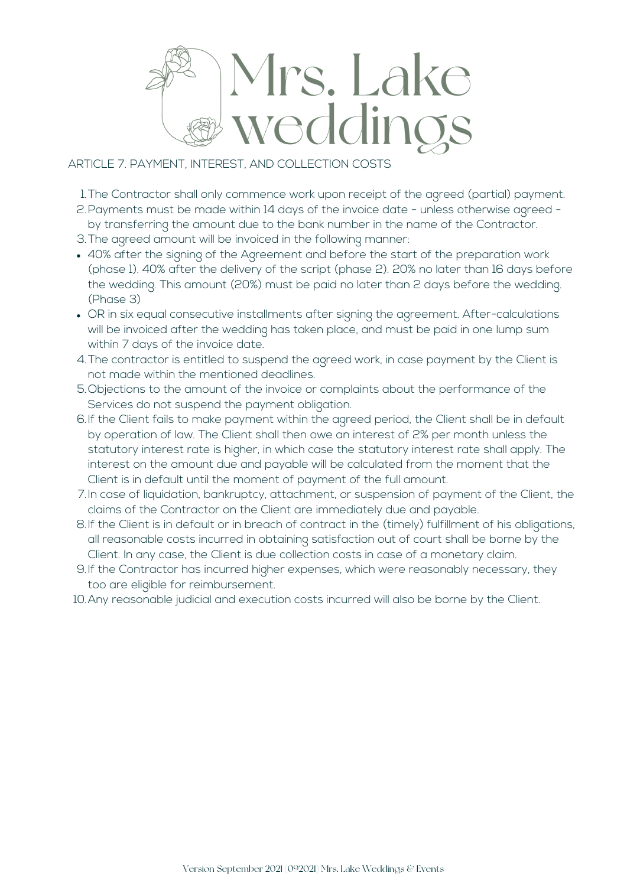

# ARTICLE 7. PAYMENT, INTEREST, AND COLLECTION COSTS

The Contractor shall only commence work upon receipt of the agreed (partial) payment. 1.

- Payments must be made within 14 days of the invoice date unless otherwise agreed 2. by transferring the amount due to the bank number in the name of the Contractor.
- 3. The agreed amount will be invoiced in the following manner:
- 40% after the signing of the Agreement and before the start of the preparation work (phase 1). 40% after the delivery of the script (phase 2). 20% no later than 16 days before the wedding. This amount (20%) must be paid no later than 2 days before the wedding. (Phase 3)
- OR in six equal consecutive installments after signing the agreement. After-calculations will be invoiced after the wedding has taken place, and must be paid in one lump sum within 7 days of the invoice date.
- The contractor is entitled to suspend the agreed work, in case payment by the Client is 4. not made within the mentioned deadlines.
- Objections to the amount of the invoice or complaints about the performance of the 5. Services do not suspend the payment obligation.
- 6.If the Client fails to make payment within the agreed period, the Client shall be in default by operation of law. The Client shall then owe an interest of 2% per month unless the statutory interest rate is higher, in which case the statutory interest rate shall apply. The interest on the amount due and payable will be calculated from the moment that the Client is in default until the moment of payment of the full amount.
- 7.In case of liquidation, bankruptcy, attachment, or suspension of payment of the Client, the claims of the Contractor on the Client are immediately due and payable.
- 8.If the Client is in default or in breach of contract in the (timely) fulfillment of his obligations, all reasonable costs incurred in obtaining satisfaction out of court shall be borne by the Client. In any case, the Client is due collection costs in case of a monetary claim.
- If the Contractor has incurred higher expenses, which were reasonably necessary, they 9. too are eligible for reimbursement.
- 10.Any reasonable judicial and execution costs incurred will also be borne by the Client.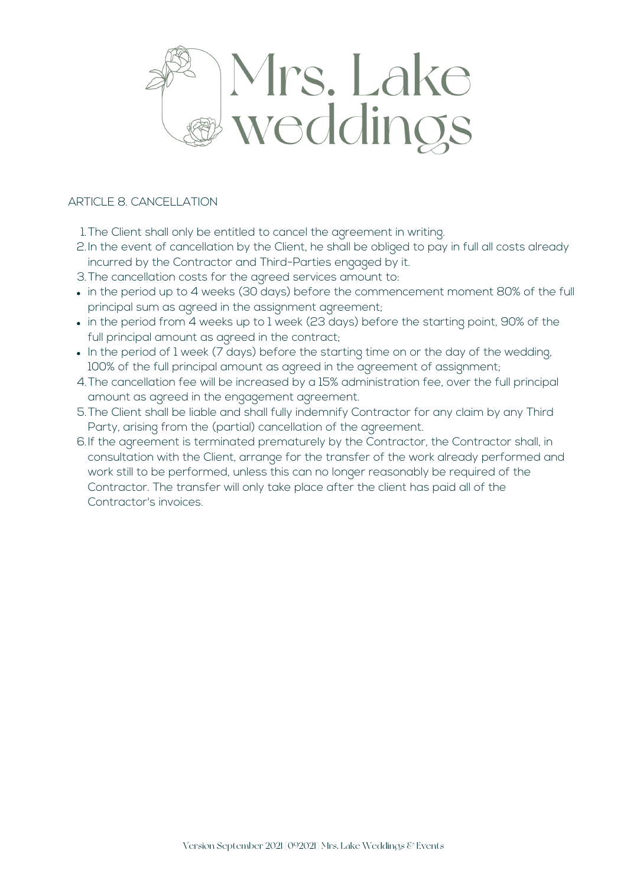

## ARTICLE 8. CANCELLATION

The Client shall only be entitled to cancel the agreement in writing. 1.

- 2.In the event of cancellation by the Client, he shall be obliged to pay in full all costs already incurred by the Contractor and Third-Parties engaged by it.
- 3.The cancellation costs for the agreed services amount to:
- in the period up to 4 weeks (30 days) before the commencement moment 80% of the full principal sum as agreed in the assignment agreement;
- in the period from 4 weeks up to 1 week (23 days) before the starting point, 90% of the full principal amount as agreed in the contract;
- . In the period of 1 week (7 days) before the starting time on or the day of the wedding, 100% of the full principal amount as agreed in the agreement of assignment;
- The cancellation fee will be increased by a 15% administration fee, over the full principal 4. amount as agreed in the engagement agreement.
- The Client shall be liable and shall fully indemnify Contractor for any claim by any Third 5. Party, arising from the (partial) cancellation of the agreement.
- 6.If the agreement is terminated prematurely by the Contractor, the Contractor shall, in consultation with the Client, arrange for the transfer of the work already performed and work still to be performed, unless this can no longer reasonably be required of the Contractor. The transfer will only take place after the client has paid all of the Contractor's invoices.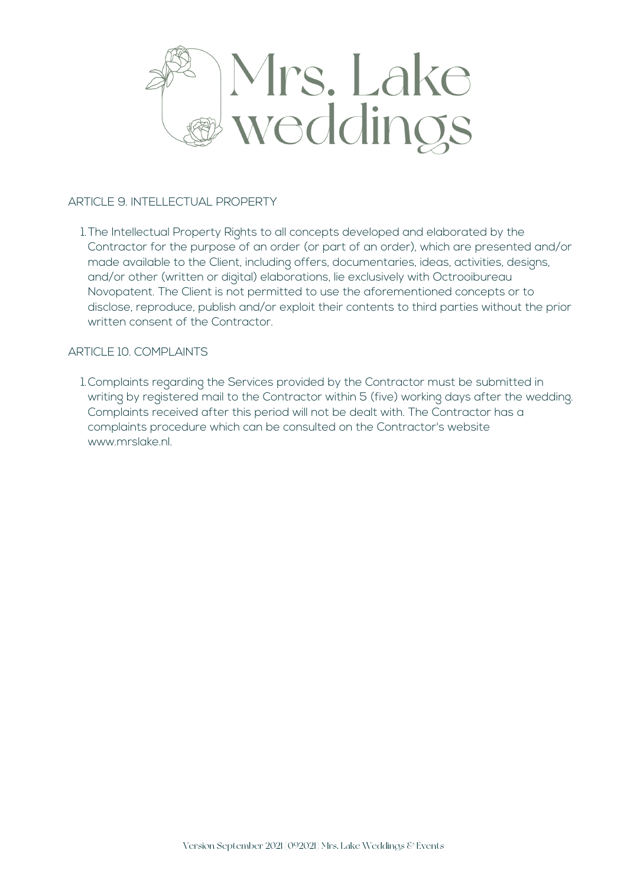

#### ARTICLE 9. INTELLECTUAL PROPERTY

The Intellectual Property Rights to all concepts developed and elaborated by the 1. Contractor for the purpose of an order (or part of an order), which are presented and/or made available to the Client, including offers, documentaries, ideas, activities, designs, and/or other (written or digital) elaborations, lie exclusively with Octrooibureau Novopatent. The Client is not permitted to use the aforementioned concepts or to disclose, reproduce, publish and/or exploit their contents to third parties without the prior written consent of the Contractor.

## ARTICLE 10. COMPLAINTS

1.Complaints regarding the Services provided by the Contractor must be submitted in writing by registered mail to the Contractor within 5 (five) working days after the wedding. Complaints received after this period will not be dealt with. The Contractor has a complaints procedure which can be consulted on the Contractor's website www.mrslake.nl.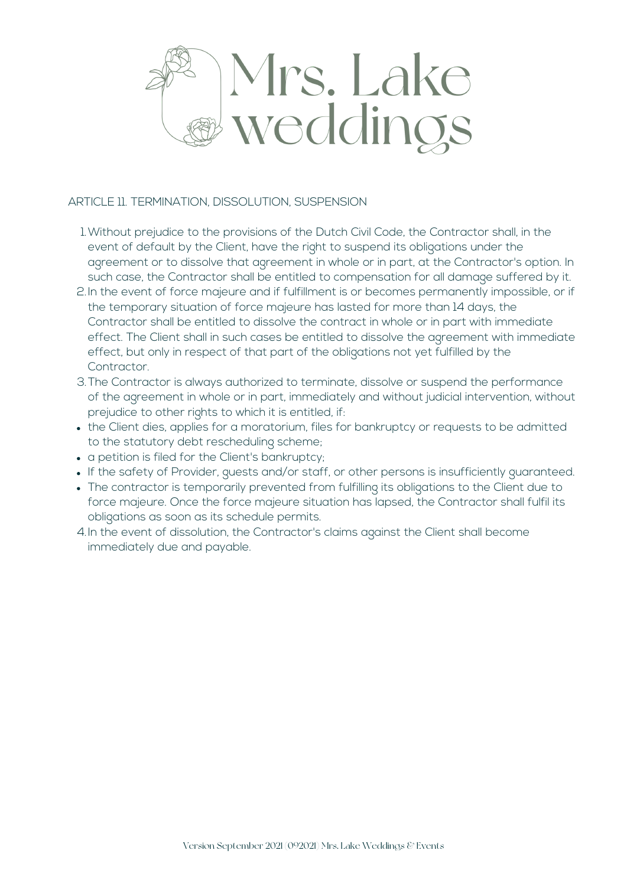

#### ARTICLE 11. TERMINATION, DISSOLUTION, SUSPENSION

- Without prejudice to the provisions of the Dutch Civil Code, the Contractor shall, in the 1. event of default by the Client, have the right to suspend its obligations under the agreement or to dissolve that agreement in whole or in part, at the Contractor's option. In such case, the Contractor shall be entitled to compensation for all damage suffered by it.
- 2.In the event of force majeure and if fulfillment is or becomes permanently impossible, or if the temporary situation of force majeure has lasted for more than 14 days, the Contractor shall be entitled to dissolve the contract in whole or in part with immediate effect. The Client shall in such cases be entitled to dissolve the agreement with immediate effect, but only in respect of that part of the obligations not yet fulfilled by the Contractor.
- 3.The Contractor is always authorized to terminate, dissolve or suspend the performance of the agreement in whole or in part, immediately and without judicial intervention, without prejudice to other rights to which it is entitled, if:
- the Client dies, applies for a moratorium, files for bankruptcy or requests to be admitted to the statutory debt rescheduling scheme;
- a petition is filed for the Client's bankruptcy:
- If the safety of Provider, guests and/or staff, or other persons is insufficiently guaranteed.
- The contractor is temporarily prevented from fulfilling its obligations to the Client due to force majeure. Once the force majeure situation has lapsed, the Contractor shall fulfil its obligations as soon as its schedule permits.
- 4.In the event of dissolution, the Contractor's claims against the Client shall become immediately due and payable.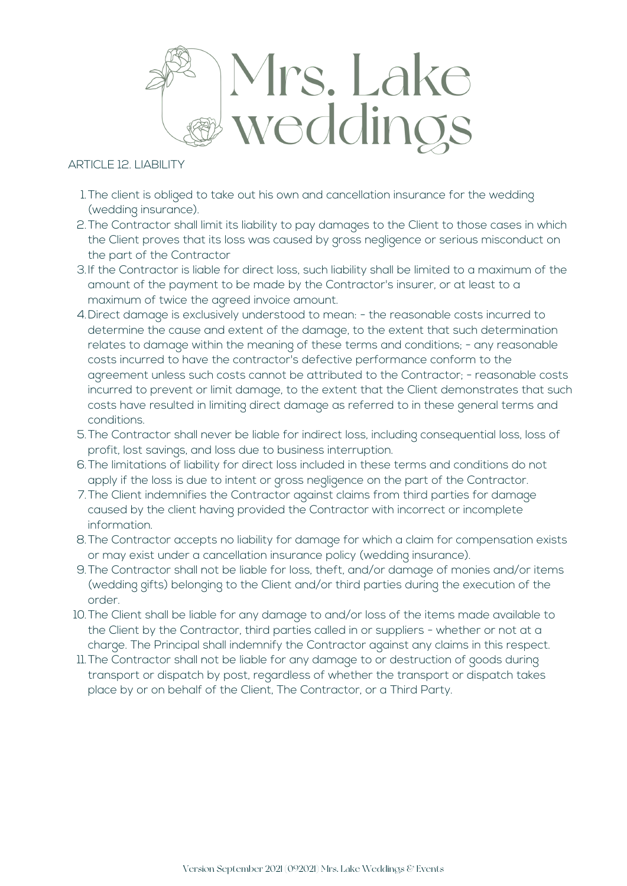

ARTICLE 12. LIABILITY

- The client is obliged to take out his own and cancellation insurance for the wedding 1. (wedding insurance).
- 2.The Contractor shall limit its liability to pay damages to the Client to those cases in which the Client proves that its loss was caused by gross negligence or serious misconduct on the part of the Contractor
- If the Contractor is liable for direct loss, such liability shall be limited to a maximum of the 3. amount of the payment to be made by the Contractor's insurer, or at least to a maximum of twice the agreed invoice amount.
- Direct damage is exclusively understood to mean: the reasonable costs incurred to 4. determine the cause and extent of the damage, to the extent that such determination relates to damage within the meaning of these terms and conditions; - any reasonable costs incurred to have the contractor's defective performance conform to the agreement unless such costs cannot be attributed to the Contractor; - reasonable costs incurred to prevent or limit damage, to the extent that the Client demonstrates that such costs have resulted in limiting direct damage as referred to in these general terms and conditions.
- The Contractor shall never be liable for indirect loss, including consequential loss, loss of 5. profit, lost savings, and loss due to business interruption.
- The limitations of liability for direct loss included in these terms and conditions do not 6. apply if the loss is due to intent or gross negligence on the part of the Contractor.
- The Client indemnifies the Contractor against claims from third parties for damage 7. caused by the client having provided the Contractor with incorrect or incomplete information.
- The Contractor accepts no liability for damage for which a claim for compensation exists 8. or may exist under a cancellation insurance policy (wedding insurance).
- The Contractor shall not be liable for loss, theft, and/or damage of monies and/or items 9. (wedding gifts) belonging to the Client and/or third parties during the execution of the order.
- 10.The Client shall be liable for any damage to and/or loss of the items made available to the Client by the Contractor, third parties called in or suppliers - whether or not at a charge. The Principal shall indemnify the Contractor against any claims in this respect.
- The Contractor shall not be liable for any damage to or destruction of goods during 11. transport or dispatch by post, regardless of whether the transport or dispatch takes place by or on behalf of the Client, The Contractor, or a Third Party.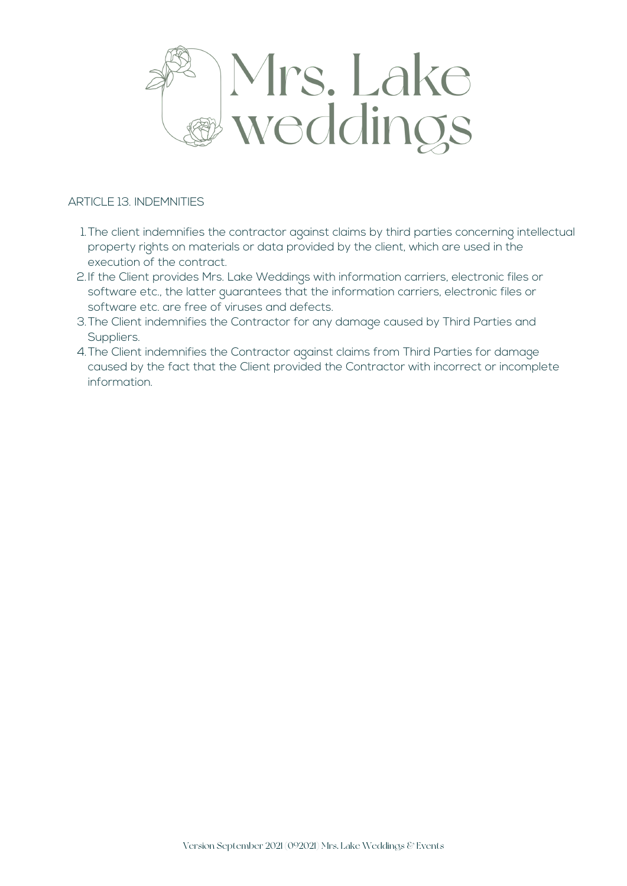

#### ARTICLE 13. INDEMNITIES

- The client indemnifies the contractor against claims by third parties concerning intellectual 1. property rights on materials or data provided by the client, which are used in the execution of the contract.
- 2.If the Client provides Mrs. Lake Weddings with information carriers, electronic files or software etc., the latter guarantees that the information carriers, electronic files or software etc. are free of viruses and defects.
- 3.The Client indemnifies the Contractor for any damage caused by Third Parties and Suppliers.
- The Client indemnifies the Contractor against claims from Third Parties for damage 4. caused by the fact that the Client provided the Contractor with incorrect or incomplete information.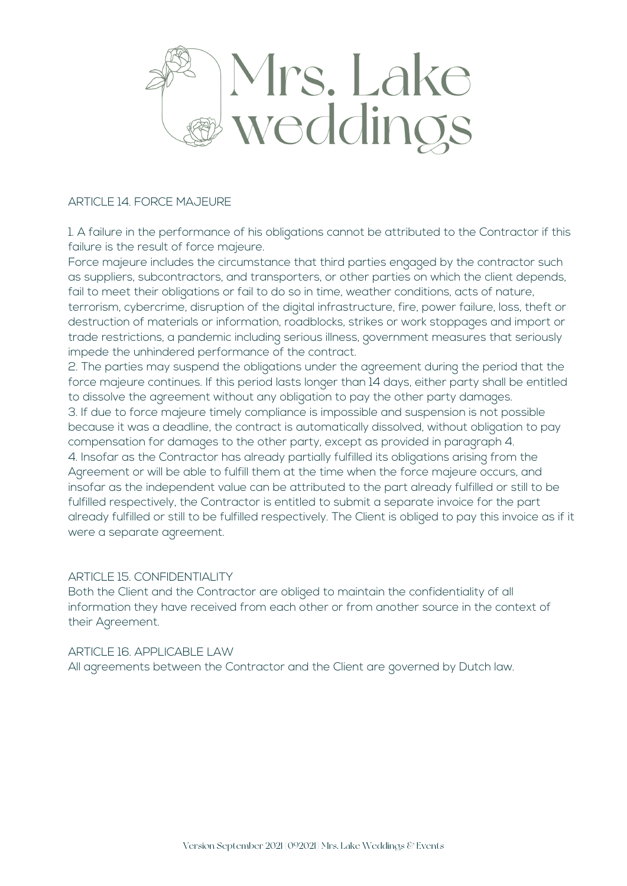

#### ARTICLE 14. FORCE MAJEURE

1. A failure in the performance of his obligations cannot be attributed to the Contractor if this failure is the result of force majeure.

Force majeure includes the circumstance that third parties engaged by the contractor such as suppliers, subcontractors, and transporters, or other parties on which the client depends, fail to meet their obligations or fail to do so in time, weather conditions, acts of nature, terrorism, cybercrime, disruption of the digital infrastructure, fire, power failure, loss, theft or destruction of materials or information, roadblocks, strikes or work stoppages and import or trade restrictions, a pandemic including serious illness, government measures that seriously impede the unhindered performance of the contract.

2. The parties may suspend the obligations under the agreement during the period that the force majeure continues. If this period lasts longer than 14 days, either party shall be entitled to dissolve the agreement without any obligation to pay the other party damages. 3. If due to force majeure timely compliance is impossible and suspension is not possible because it was a deadline, the contract is automatically dissolved, without obligation to pay compensation for damages to the other party, except as provided in paragraph 4. 4. Insofar as the Contractor has already partially fulfilled its obligations arising from the Agreement or will be able to fulfill them at the time when the force majeure occurs, and insofar as the independent value can be attributed to the part already fulfilled or still to be fulfilled respectively, the Contractor is entitled to submit a separate invoice for the part already fulfilled or still to be fulfilled respectively. The Client is obliged to pay this invoice as if it were a separate agreement.

#### ARTICLE 15. CONFIDENTIALITY

Both the Client and the Contractor are obliged to maintain the confidentiality of all information they have received from each other or from another source in the context of their Agreement.

#### ARTICLE 16. APPLICABLE LAW

All agreements between the Contractor and the Client are governed by Dutch law.